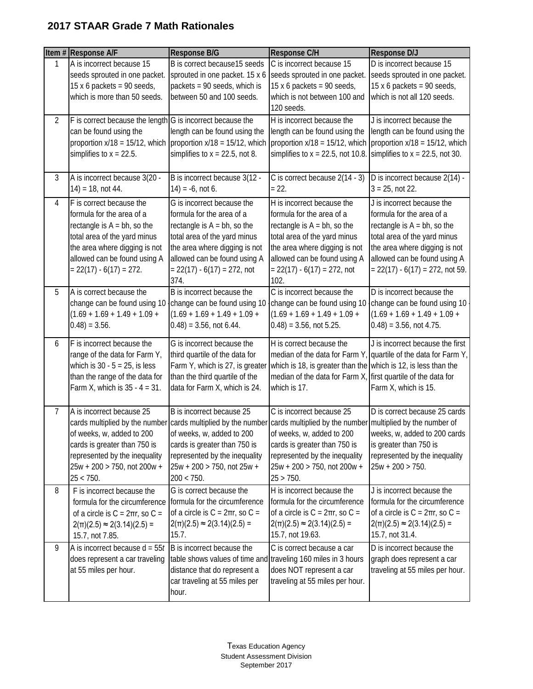|                | Item # Response A/F                                                                                                                                                                                                   | Response B/G                                                                                                                                                                                                                                                                                         | <b>Response C/H</b>                                                                                                                                                                                                                  | Response D/J                                                                                                                                                                                                                     |
|----------------|-----------------------------------------------------------------------------------------------------------------------------------------------------------------------------------------------------------------------|------------------------------------------------------------------------------------------------------------------------------------------------------------------------------------------------------------------------------------------------------------------------------------------------------|--------------------------------------------------------------------------------------------------------------------------------------------------------------------------------------------------------------------------------------|----------------------------------------------------------------------------------------------------------------------------------------------------------------------------------------------------------------------------------|
| 1              | A is incorrect because 15<br>seeds sprouted in one packet.<br>15 x 6 packets = $90$ seeds,<br>which is more than 50 seeds.                                                                                            | B is correct because15 seeds<br>sprouted in one packet. 15 x 6<br>packets = 90 seeds, which is<br>between 50 and 100 seeds.                                                                                                                                                                          | C is incorrect because 15<br>seeds sprouted in one packet.<br>15 x 6 packets = $90$ seeds,<br>which is not between 100 and<br>120 seeds.                                                                                             | D is incorrect because 15<br>seeds sprouted in one packet.<br>15 x 6 packets = $90$ seeds,<br>which is not all 120 seeds.                                                                                                        |
| $\overline{2}$ | $F$ is correct because the length $G$ is incorrect because the<br>can be found using the<br>simplifies to $x = 22.5$ .                                                                                                | length can be found using the<br>proportion $x/18 = 15/12$ , which proportion $x/18 = 15/12$ , which<br>simplifies to $x = 22.5$ , not 8.                                                                                                                                                            | H is incorrect because the<br>length can be found using the<br>proportion $x/18 = 15/12$ , which<br>simplifies to $x = 22.5$ , not 10.8.                                                                                             | J is incorrect because the<br>length can be found using the<br>proportion $x/18 = 15/12$ , which<br>simplifies to $x = 22.5$ , not 30.                                                                                           |
| 3              | A is incorrect because 3(20 -<br>$14$ ) = 18, not 44.                                                                                                                                                                 | B is incorrect because 3(12 -<br>$14$ ) = -6, not 6.                                                                                                                                                                                                                                                 | C is correct because 2(14 - 3)<br>$= 22.$                                                                                                                                                                                            | D is incorrect because 2(14) -<br>$3 = 25$ , not 22.                                                                                                                                                                             |
| 4              | F is correct because the<br>formula for the area of a<br>rectangle is $A = bh$ , so the<br>total area of the yard minus<br>the area where digging is not<br>allowed can be found using A<br>$= 22(17) - 6(17) = 272.$ | G is incorrect because the<br>formula for the area of a<br>rectangle is $A = bh$ , so the<br>total area of the yard minus<br>the area where digging is not<br>allowed can be found using A<br>$= 22(17) - 6(17) = 272$ , not<br>374.                                                                 | H is incorrect because the<br>formula for the area of a<br>rectangle is $A = bh$ , so the<br>total area of the yard minus<br>the area where digging is not<br>allowed can be found using A<br>$= 22(17) - 6(17) = 272$ , not<br>102. | J is incorrect because the<br>formula for the area of a<br>rectangle is $A = bh$ , so the<br>total area of the yard minus<br>the area where digging is not<br>allowed can be found using A<br>$= 22(17) - 6(17) = 272$ , not 59. |
| 5              | A is correct because the<br>change can be found using 10<br>$(1.69 + 1.69 + 1.49 + 1.09 +$<br>$0.48$ ) = 3.56.                                                                                                        | B is incorrect because the<br>change can be found using 10<br>$(1.69 + 1.69 + 1.49 + 1.09 +$<br>$(0.48) = 3.56$ , not 6.44.                                                                                                                                                                          | C is incorrect because the<br>change can be found using 10<br>$(1.69 + 1.69 + 1.49 + 1.09 +$<br>$(0.48) = 3.56$ , not 5.25.                                                                                                          | D is incorrect because the<br>change can be found using 10<br>$(1.69 + 1.69 + 1.49 + 1.09 +$<br>$(0.48) = 3.56$ , not 4.75.                                                                                                      |
| 6              | F is incorrect because the<br>range of the data for Farm Y,<br>which is $30 - 5 = 25$ , is less<br>than the range of the data for<br>Farm X, which is $35 - 4 = 31$ .                                                 | G is incorrect because the<br>third quartile of the data for<br>Farm Y, which is 27, is greater<br>than the third quartile of the<br>data for Farm X, which is 24.                                                                                                                                   | H is correct because the<br>which is 18, is greater than the which is 12, is less than the<br>median of the data for Farm X, first quartile of the data for<br>which is 17.                                                          | J is incorrect because the first<br>median of the data for Farm Y, quartile of the data for Farm Y,<br>Farm X, which is 15.                                                                                                      |
| 7              | A is incorrect because 25<br>of weeks, w, added to 200<br>cards is greater than 750 is<br>represented by the inequality<br>25w + 200 > 750, not 200w +<br>25 < 750.                                                   | B is incorrect because 25<br>cards multiplied by the number cards multiplied by the number cards multiplied by the number multiplied by the number of<br>of weeks, w, added to 200<br>cards is greater than 750 is<br>represented by the inequality<br>$25w + 200 > 750$ , not $25w +$<br>200 < 750. | C is incorrect because 25<br>of weeks, w, added to 200<br>cards is greater than 750 is<br>represented by the inequality<br>25w + 200 > 750, not 200w +<br>25 > 750.                                                                  | D is correct because 25 cards<br>weeks, w, added to 200 cards<br>is greater than 750 is<br>represented by the inequality<br>$25w + 200 > 750$ .                                                                                  |
| 8              | F is incorrect because the<br>formula for the circumference<br>of a circle is $C = 2\pi r$ , so $C =$<br>$2(\pi)(2.5) \approx 2(3.14)(2.5) =$<br>15.7, not 7.85.                                                      | G is correct because the<br>formula for the circumference<br>of a circle is $C = 2\pi r$ , so $C =$<br>$2(\pi)(2.5) \approx 2(3.14)(2.5) =$<br>15.7.                                                                                                                                                 | H is incorrect because the<br>formula for the circumference<br>of a circle is $C = 2\pi r$ , so $C =$<br>$2(\pi)(2.5) \approx 2(3.14)(2.5) =$<br>15.7, not 19.63.                                                                    | J is incorrect because the<br>formula for the circumference<br>of a circle is $C = 2\pi r$ , so $C =$<br>$2(\pi)(2.5) \approx 2(3.14)(2.5) =$<br>15.7, not 31.4.                                                                 |
| 9              | A is incorrect because $d = 55t$<br>does represent a car traveling<br>at 55 miles per hour.                                                                                                                           | B is incorrect because the<br>table shows values of time and traveling 160 miles in 3 hours<br>distance that do represent a<br>car traveling at 55 miles per<br>hour.                                                                                                                                | C is correct because a car<br>does NOT represent a car<br>traveling at 55 miles per hour.                                                                                                                                            | D is incorrect because the<br>graph does represent a car<br>traveling at 55 miles per hour.                                                                                                                                      |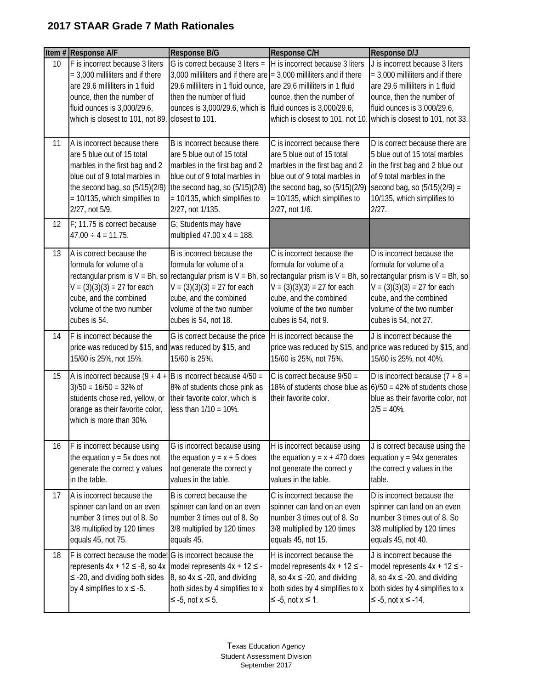|                 | Item # Response A/F                                                                                                                                                                                                 | Response B/G                                                                                                                                                                                                                                                                                            | Response C/H                                                                                                                                                                                                        | <b>Response D/J</b>                                                                                                                                                                                                                       |
|-----------------|---------------------------------------------------------------------------------------------------------------------------------------------------------------------------------------------------------------------|---------------------------------------------------------------------------------------------------------------------------------------------------------------------------------------------------------------------------------------------------------------------------------------------------------|---------------------------------------------------------------------------------------------------------------------------------------------------------------------------------------------------------------------|-------------------------------------------------------------------------------------------------------------------------------------------------------------------------------------------------------------------------------------------|
| 10 <sup>1</sup> | F is incorrect because 3 liters<br>$=$ 3,000 milliliters and if there<br>are 29.6 milliliters in 1 fluid<br>ounce, then the number of<br>fluid ounces is 3,000/29.6,<br>which is closest to 101, not 89.            | G is correct because $3$ liters =<br>3,000 milliliters and if there are $=$ 3,000 milliliters and if there<br>29.6 milliliters in 1 fluid ounce,<br>then the number of fluid<br>ounces is 3,000/29.6, which is<br>closest to 101.                                                                       | H is incorrect because 3 liters<br>are 29.6 milliliters in 1 fluid<br>ounce, then the number of<br>fluid ounces is 3,000/29.6,                                                                                      | J is incorrect because 3 liters<br>$=$ 3,000 milliliters and if there<br>are 29.6 milliliters in 1 fluid<br>ounce, then the number of<br>fluid ounces is 3,000/29.6,<br>which is closest to 101, not 10. which is closest to 101, not 33. |
| 11              | A is incorrect because there<br>are 5 blue out of 15 total<br>marbles in the first bag and 2<br>blue out of 9 total marbles in<br>the second bag, so (5/15)(2/9)<br>= 10/135, which simplifies to<br>2/27, not 5/9. | B is incorrect because there<br>are 5 blue out of 15 total<br>marbles in the first bag and 2<br>blue out of 9 total marbles in<br>the second bag, so (5/15)(2/9)<br>= 10/135, which simplifies to<br>2/27, not 1/135.                                                                                   | C is incorrect because there<br>are 5 blue out of 15 total<br>marbles in the first bag and 2<br>blue out of 9 total marbles in<br>the second bag, so (5/15)(2/9)<br>= 10/135, which simplifies to<br>2/27, not 1/6. | D is correct because there are<br>5 blue out of 15 total marbles<br>in the first bag and 2 blue out<br>of 9 total marbles in the<br>second bag, so $(5/15)(2/9) =$<br>10/135, which simplifies to<br>2/27.                                |
| 12              | F: 11.75 is correct because<br>$47.00 \div 4 = 11.75$ .                                                                                                                                                             | G; Students may have<br>multiplied $47.00 \times 4 = 188$ .                                                                                                                                                                                                                                             |                                                                                                                                                                                                                     |                                                                                                                                                                                                                                           |
| 13              | A is correct because the<br>formula for volume of a<br>$V = (3)(3)(3) = 27$ for each<br>cube, and the combined<br>volume of the two number<br>cubes is 54.                                                          | B is incorrect because the<br>formula for volume of a<br>rectangular prism is V = Bh, so rectangular prism is V = Bh, so rectangular prism is V = Bh, so rectangular prism is V = Bh, so<br>$V = (3)(3)(3) = 27$ for each<br>cube, and the combined<br>volume of the two number<br>cubes is 54, not 18. | C is incorrect because the<br>formula for volume of a<br>$V = (3)(3)(3) = 27$ for each<br>cube, and the combined<br>volume of the two number<br>cubes is 54, not 9.                                                 | D is incorrect because the<br>formula for volume of a<br>$V = (3)(3)(3) = 27$ for each<br>cube, and the combined<br>volume of the two number<br>cubes is 54, not 27.                                                                      |
| 14              | F is incorrect because the<br>price was reduced by \$15, and was reduced by \$15, and<br>15/60 is 25%, not 15%.                                                                                                     | G is correct because the price<br>15/60 is 25%.                                                                                                                                                                                                                                                         | H is incorrect because the<br>15/60 is 25%, not 75%.                                                                                                                                                                | J is incorrect because the<br>price was reduced by \$15, and price was reduced by \$15, and<br>15/60 is 25%, not 40%.                                                                                                                     |
| 15              | A is incorrect because $(9 + 4 +  B )$ is incorrect because $4/50 =$<br>$3/50 = 16/50 = 32\%$ of<br>students chose red, yellow, or<br>orange as their favorite color,<br>which is more than 30%.                    | 8% of students chose pink as<br>their favorite color, which is<br>less than $1/10 = 10\%$ .                                                                                                                                                                                                             | C is correct because $9/50 =$<br>their favorite color.                                                                                                                                                              | D is incorrect because $(7 + 8 +$<br>18% of students chose blue as $6/50 = 42%$ of students chose<br>blue as their favorite color, not<br>$2/5 = 40\%$ .                                                                                  |
| 16              | F is incorrect because using<br>the equation $y = 5x$ does not<br>generate the correct y values<br>in the table.                                                                                                    | G is incorrect because using<br>the equation $y = x + 5$ does<br>not generate the correct y<br>values in the table.                                                                                                                                                                                     | H is incorrect because using<br>the equation $y = x + 470$ does<br>not generate the correct y<br>values in the table.                                                                                               | J is correct because using the<br>equation $y = 94x$ generates<br>the correct y values in the<br>table.                                                                                                                                   |
| 17              | A is incorrect because the<br>spinner can land on an even<br>number 3 times out of 8. So<br>3/8 multiplied by 120 times<br>equals 45, not 75.                                                                       | B is correct because the<br>spinner can land on an even<br>number 3 times out of 8. So<br>3/8 multiplied by 120 times<br>equals 45.                                                                                                                                                                     | C is incorrect because the<br>spinner can land on an even<br>number 3 times out of 8. So<br>3/8 multiplied by 120 times<br>equals 45, not 15.                                                                       | D is incorrect because the<br>spinner can land on an even<br>number 3 times out of 8. So<br>3/8 multiplied by 120 times<br>equals 45, not 40.                                                                                             |
| 18              | F is correct because the model G is incorrect because the<br>represents $4x + 12 \le -8$ , so $4x$<br>$\le$ -20, and dividing both sides<br>by 4 simplifies to $x \le -5$ .                                         | model represents $4x + 12 \le -$<br>8, so $4x \le -20$ , and dividing<br>both sides by 4 simplifies to x<br>$\leq$ -5, not $x \leq 5$ .                                                                                                                                                                 | H is incorrect because the<br>model represents $4x + 12 \leq -$<br>8, so $4x \le -20$ , and dividing<br>both sides by 4 simplifies to x<br>$\leq$ -5, not $x \leq 1$ .                                              | J is incorrect because the<br>model represents $4x + 12 \le -$<br>8, so $4x \le -20$ , and dividing<br>both sides by 4 simplifies to x<br>$\leq$ -5, not $x \leq$ -14.                                                                    |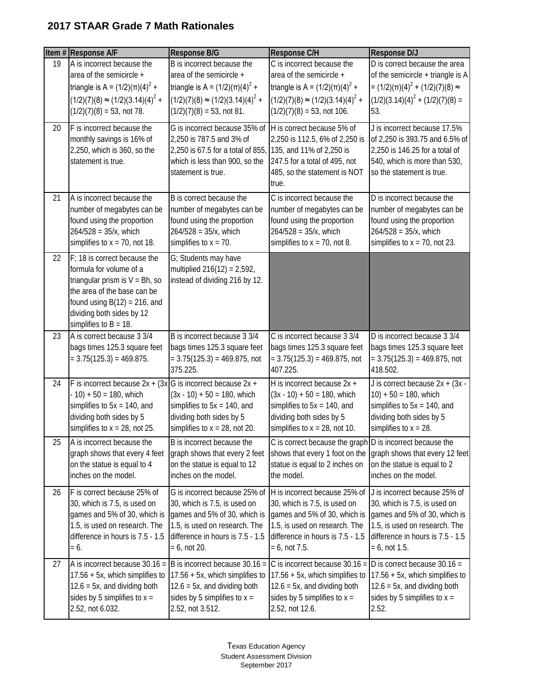|    | Item # Response A/F                                                                                                                                                                                                     | Response B/G                                                                                                                                                                          | Response C/H                                                                                                                                                                           | Response D/J                                                                                                                                                                           |
|----|-------------------------------------------------------------------------------------------------------------------------------------------------------------------------------------------------------------------------|---------------------------------------------------------------------------------------------------------------------------------------------------------------------------------------|----------------------------------------------------------------------------------------------------------------------------------------------------------------------------------------|----------------------------------------------------------------------------------------------------------------------------------------------------------------------------------------|
| 19 | A is incorrect because the<br>area of the semicircle +<br>triangle is A = $(1/2)(π)(4)^{2} +$<br>$(1/2)(7)(8) \approx (1/2)(3.14)(4)^{2} +$<br>$(1/2)(7)(8) = 53$ , not 78.                                             | B is incorrect because the<br>area of the semicircle +<br>triangle is A = $(1/2)(\pi)(4)^{2}$ +<br>$(1/2)(7)(8) \approx (1/2)(3.14)(4)^{2} +$<br>$(1/2)(7)(8) = 53$ , not 81.         | C is incorrect because the<br>area of the semicircle +<br>triangle is A = $(1/2)(\pi)(4)^2$ +<br>$(1/2)(7)(8) \approx (1/2)(3.14)(4)^{2} +$<br>$(1/2)(7)(8) = 53$ , not 106.           | D is correct because the area<br>of the semicircle $+$ triangle is A<br>= $(1/2)(\pi)(4)^{2}$ + $(1/2)(7)(8)$ ≈<br>$(1/2)(3.14)(4)^{2} + (1/2)(7)(8) =$<br>53.                         |
| 20 | F is incorrect because the<br>monthly savings is 16% of<br>2,250, which is 360, so the<br>statement is true.                                                                                                            | G is incorrect because 35% of<br>2,250 is 787.5 and 3% of<br>2,250 is 67.5 for a total of 855,<br>which is less than 900, so the<br>statement is true.                                | H is correct because 5% of<br>2,250 is 112.5, 6% of 2,250 is<br>135, and 11% of 2,250 is<br>247.5 for a total of 495, not<br>485, so the statement is NOT<br>true.                     | J is incorrect because 17.5%<br>of 2,250 is 393.75 and 6.5% of<br>2,250 is 146.25 for a total of<br>540, which is more than 530,<br>so the statement is true.                          |
| 21 | A is incorrect because the<br>number of megabytes can be<br>found using the proportion<br>$264/528 = 35/x$ , which<br>simplifies to $x = 70$ , not 18.                                                                  | B is correct because the<br>number of megabytes can be<br>found using the proportion<br>$264/528 = 35/x$ , which<br>simplifies to $x = 70$ .                                          | C is incorrect because the<br>number of megabytes can be<br>found using the proportion<br>$264/528 = 35/x$ , which<br>simplifies to $x = 70$ , not 8.                                  | D is incorrect because the<br>number of megabytes can be<br>found using the proportion<br>$264/528 = 35/x$ , which<br>simplifies to $x = 70$ , not 23.                                 |
| 22 | F; 18 is correct because the<br>formula for volume of a<br>triangular prism is $V = Bh$ , so<br>the area of the base can be<br>found using $B(12) = 216$ , and<br>dividing both sides by 12<br>simplifies to $B = 18$ . | G; Students may have<br>multiplied $216(12) = 2,592$ ,<br>instead of dividing 216 by 12.                                                                                              |                                                                                                                                                                                        |                                                                                                                                                                                        |
| 23 | A is correct because 3 3/4<br>bags times 125.3 square feet<br>$= 3.75(125.3) = 469.875.$                                                                                                                                | B is incorrect because 3 3/4<br>bags times 125.3 square feet<br>$= 3.75(125.3) = 469.875$ , not<br>375.225.                                                                           | C is incorrect because 3 3/4<br>bags times 125.3 square feet<br>$= 3.75(125.3) = 469.875$ , not<br>407.225.                                                                            | D is incorrect because 3 3/4<br>bags times 125.3 square feet<br>$= 3.75(125.3) = 469.875$ , not<br>418.502.                                                                            |
| 24 | F is incorrect because $2x + (3x)G$ is incorrect because $2x +$<br>$-10$ ) + 50 = 180, which<br>simplifies to $5x = 140$ , and<br>dividing both sides by 5<br>simplifies to $x = 28$ , not 25.                          | $(3x - 10) + 50 = 180$ , which<br>simplifies to $5x = 140$ , and<br>dividing both sides by 5<br>simplifies to $x = 28$ , not 20.                                                      | H is incorrect because 2x +<br>$(3x - 10) + 50 = 180$ , which<br>simplifies to $5x = 140$ , and<br>dividing both sides by 5<br>simplifies to $x = 28$ , not 10.                        | J is correct because $2x + (3x -$<br>$10$ ) + 50 = 180, which<br>simplifies to $5x = 140$ , and<br>dividing both sides by 5<br>simplifies to $x = 28$ .                                |
| 25 | A is incorrect because the<br>graph shows that every 4 feet<br>on the statue is equal to 4<br>inches on the model.                                                                                                      | B is incorrect because the<br>graph shows that every 2 feet<br>on the statue is equal to 12<br>inches on the model.                                                                   | C is correct because the graph D is incorrect because the<br>shows that every 1 foot on the<br>statue is equal to 2 inches on<br>the model.                                            | graph shows that every 12 feet<br>on the statue is equal to 2<br>inches on the model.                                                                                                  |
| 26 | F is correct because 25% of<br>30, which is 7.5, is used on<br>games and 5% of 30, which is<br>1.5, is used on research. The<br>difference in hours is 7.5 - 1.5<br>$= 6.$                                              | G is incorrect because 25% of<br>30, which is 7.5, is used on<br>games and 5% of 30, which is<br>1.5, is used on research. The<br>difference in hours is 7.5 - 1.5<br>$= 6$ , not 20. | H is incorrect because 25% of<br>30, which is 7.5, is used on<br>games and 5% of 30, which is<br>1.5, is used on research. The<br>difference in hours is 7.5 - 1.5<br>$= 6$ , not 7.5. | J is incorrect because 25% of<br>30, which is 7.5, is used on<br>games and 5% of 30, which is<br>1.5, is used on research. The<br>difference in hours is 7.5 - 1.5<br>$= 6$ , not 1.5. |
| 27 | A is incorrect because $30.16 =$<br>17.56 + 5x, which simplifies to<br>$12.6 = 5x$ , and dividing both<br>sides by 5 simplifies to $x =$<br>2.52, not 6.032.                                                            | B is incorrect because 30.16 =<br>17.56 + 5x, which simplifies to<br>$12.6 = 5x$ , and dividing both<br>sides by 5 simplifies to $x =$<br>2.52, not 3.512.                            | C is incorrect because $30.16 =$<br>17.56 + 5x, which simplifies to<br>$12.6 = 5x$ , and dividing both<br>sides by 5 simplifies to $x =$<br>2.52, not 12.6.                            | D is correct because $30.16 =$<br>17.56 + 5x, which simplifies to<br>$12.6 = 5x$ , and dividing both<br>sides by 5 simplifies to $x =$<br>2.52.                                        |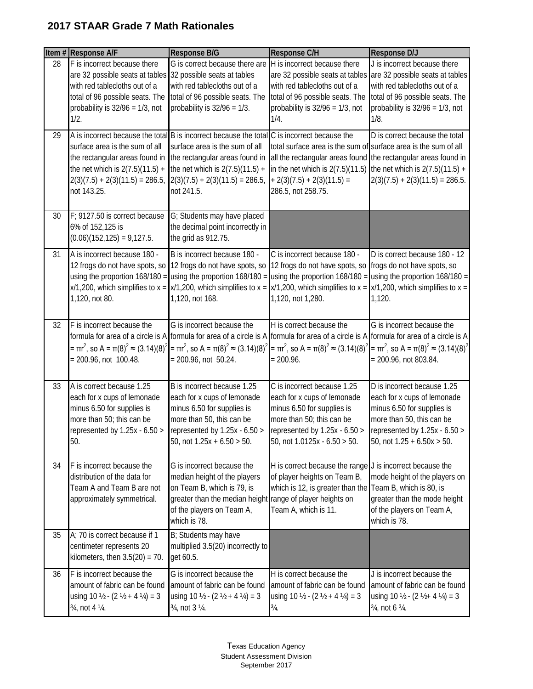|    | Item # Response A/F                                                                                                                                                                                           | Response B/G                                                                                                                                                                                                                                                                                   | Response C/H                                                                                                                                                                                                                                                    | Response D/J                                                                                                                                                                                                      |
|----|---------------------------------------------------------------------------------------------------------------------------------------------------------------------------------------------------------------|------------------------------------------------------------------------------------------------------------------------------------------------------------------------------------------------------------------------------------------------------------------------------------------------|-----------------------------------------------------------------------------------------------------------------------------------------------------------------------------------------------------------------------------------------------------------------|-------------------------------------------------------------------------------------------------------------------------------------------------------------------------------------------------------------------|
| 28 | F is incorrect because there<br>are 32 possible seats at tables 32 possible seats at tables<br>with red tablecloths out of a<br>total of 96 possible seats. The<br>probability is $32/96 = 1/3$ , not<br>1/2. | G is correct because there are<br>with red tablecloths out of a<br>total of 96 possible seats. The<br>probability is $32/96 = 1/3$ .                                                                                                                                                           | H is incorrect because there<br>with red tablecloths out of a<br>total of 96 possible seats. The<br>probability is $32/96 = 1/3$ , not<br>1/4.                                                                                                                  | J is incorrect because there<br>are 32 possible seats at tables are 32 possible seats at tables<br>with red tablecloths out of a<br>total of 96 possible seats. The<br>probability is $32/96 = 1/3$ , not<br>1/8. |
| 29 | surface area is the sum of all<br>the rectangular areas found in<br>the net which is $2(7.5)(11.5) +$<br>not 143.25.                                                                                          | A is incorrect because the total B is incorrect because the total C is incorrect because the<br>surface area is the sum of all<br>the rectangular areas found in<br>the net which is $2(7.5)(11.5) +$<br>$2(3)(7.5) + 2(3)(11.5) = 286.5, \quad 2(3)(7.5) + 2(3)(11.5) = 286.5,$<br>not 241.5. | total surface area is the sum of surface area is the sum of all<br>all the rectangular areas found the rectangular areas found in<br>in the net which is $2(7.5)(11.5)$ the net which is $2(7.5)(11.5) +$<br>$+ 2(3)(7.5) + 2(3)(11.5) =$<br>286.5, not 258.75. | D is correct because the total<br>$2(3)(7.5) + 2(3)(11.5) = 286.5.$                                                                                                                                               |
| 30 | F; 9127.50 is correct because<br>6% of 152,125 is<br>$(0.06)(152,125) = 9,127.5.$                                                                                                                             | G; Students may have placed<br>the decimal point incorrectly in<br>the grid as 912.75.                                                                                                                                                                                                         |                                                                                                                                                                                                                                                                 |                                                                                                                                                                                                                   |
| 31 | A is incorrect because 180 -<br>using the proportion $168/180 =$<br>1,120, not 80.                                                                                                                            | B is incorrect because 180 -<br>12 frogs do not have spots, so 12 frogs do not have spots, so<br>using the proportion $168/180 =$<br>$x/1,200$ , which simplifies to $x = \frac{1}{2}x/1,200$ , which simplifies to $x =$<br>1,120, not 168.                                                   | C is incorrect because 180 -<br>12 frogs do not have spots, so frogs do not have spots, so<br>$x/1,200$ , which simplifies to $x = x/1,200$ , which simplifies to $x =$<br>1,120, not 1,280.                                                                    | D is correct because 180 - 12<br>using the proportion $168/180 =$ using the proportion $168/180 =$<br>1,120.                                                                                                      |
| 32 | F is incorrect because the<br>= πr <sup>2</sup> , so A = π(8) <sup>2</sup> ≈ (3.14)(8) <sup>2</sup><br>$= 200.96$ , not 100.48.                                                                               | G is incorrect because the<br>$= \pi r^2$ , so A = $\pi(8)^2$ ≈ (3.14)(8) <sup>2</sup><br>$= 200.96$ , not 50.24.                                                                                                                                                                              | H is correct because the<br>formula for area of a circle is A formula for area of a circle is A formula for area of a circle is A formula for area of a circle is A<br>= πr <sup>2</sup> , so A = π(8) <sup>2</sup> ≈ (3.14)(8) <sup>2</sup><br>$= 200.96.$     | G is incorrect because the<br>= $\pi r^2$ , so A = $\pi(8)^2 \approx (3.14)(8)^2$<br>= 200.96, not 803.84.                                                                                                        |
| 33 | A is correct because 1.25<br>each for x cups of lemonade<br>minus 6.50 for supplies is<br>more than 50; this can be<br>represented by $1.25x - 6.50$ ><br>50.                                                 | B is incorrect because 1.25<br>each for x cups of lemonade<br>minus 6.50 for supplies is<br>more than 50, this can be<br>represented by $1.25x - 6.50$ ><br>50, not $1.25x + 6.50 > 50$ .                                                                                                      | C is incorrect because 1.25<br>each for x cups of lemonade<br>minus 6.50 for supplies is<br>more than 50; this can be<br>represented by 1.25x - 6.50 ><br>50, not $1.0125x - 6.50 > 50$ .                                                                       | D is incorrect because 1.25<br>each for x cups of lemonade<br>minus 6.50 for supplies is<br>more than 50, this can be<br>represented by $1.25x - 6.50$ ><br>50, not $1.25 + 6.50x > 50$ .                         |
| 34 | F is incorrect because the<br>distribution of the data for<br>Team A and Team B are not<br>approximately symmetrical.                                                                                         | G is incorrect because the<br>median height of the players<br>on Team B, which is 79, is<br>greater than the median height range of player heights on<br>of the players on Team A,<br>which is 78.                                                                                             | H is correct because the range J is incorrect because the<br>of player heights on Team B,<br>which is 12, is greater than the Team B, which is 80, is<br>Team A, which is 11.                                                                                   | mode height of the players on<br>greater than the mode height<br>of the players on Team A,<br>which is 78.                                                                                                        |
| 35 | A; 70 is correct because if 1<br>centimeter represents 20<br>kilometers, then $3.5(20) = 70$ .                                                                                                                | B; Students may have<br>multiplied 3.5(20) incorrectly to<br>get 60.5.                                                                                                                                                                                                                         |                                                                                                                                                                                                                                                                 |                                                                                                                                                                                                                   |
| 36 | F is incorrect because the<br>amount of fabric can be found<br>using 10 $\frac{1}{2}$ - (2 $\frac{1}{2}$ + 4 $\frac{1}{4}$ ) = 3<br>3/4, not 4 1/4.                                                           | G is incorrect because the<br>amount of fabric can be found<br>using 10 $\frac{1}{2}$ - (2 $\frac{1}{2}$ + 4 $\frac{1}{4}$ ) = 3<br>3/4, not 3 1/4.                                                                                                                                            | H is correct because the<br>amount of fabric can be found<br>using 10 $\frac{1}{2}$ - (2 $\frac{1}{2}$ + 4 $\frac{1}{4}$ ) = 3<br>$\frac{3}{4}$ .                                                                                                               | J is incorrect because the<br>amount of fabric can be found<br>using 10 $\frac{1}{2}$ - (2 $\frac{1}{2}$ + 4 $\frac{1}{4}$ ) = 3<br>3/4, not 6 3/4.                                                               |